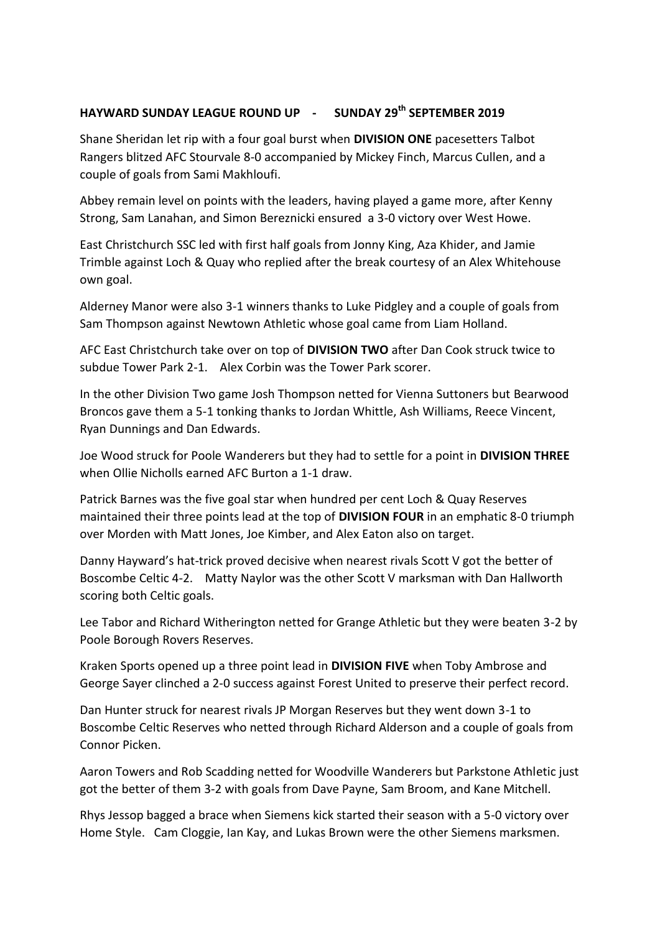## **HAYWARD SUNDAY LEAGUE ROUND UP - SUNDAY 29th SEPTEMBER 2019**

Shane Sheridan let rip with a four goal burst when **DIVISION ONE** pacesetters Talbot Rangers blitzed AFC Stourvale 8-0 accompanied by Mickey Finch, Marcus Cullen, and a couple of goals from Sami Makhloufi.

Abbey remain level on points with the leaders, having played a game more, after Kenny Strong, Sam Lanahan, and Simon Bereznicki ensured a 3-0 victory over West Howe.

East Christchurch SSC led with first half goals from Jonny King, Aza Khider, and Jamie Trimble against Loch & Quay who replied after the break courtesy of an Alex Whitehouse own goal.

Alderney Manor were also 3-1 winners thanks to Luke Pidgley and a couple of goals from Sam Thompson against Newtown Athletic whose goal came from Liam Holland.

AFC East Christchurch take over on top of **DIVISION TWO** after Dan Cook struck twice to subdue Tower Park 2-1. Alex Corbin was the Tower Park scorer.

In the other Division Two game Josh Thompson netted for Vienna Suttoners but Bearwood Broncos gave them a 5-1 tonking thanks to Jordan Whittle, Ash Williams, Reece Vincent, Ryan Dunnings and Dan Edwards.

Joe Wood struck for Poole Wanderers but they had to settle for a point in **DIVISION THREE** when Ollie Nicholls earned AFC Burton a 1-1 draw.

Patrick Barnes was the five goal star when hundred per cent Loch & Quay Reserves maintained their three points lead at the top of **DIVISION FOUR** in an emphatic 8-0 triumph over Morden with Matt Jones, Joe Kimber, and Alex Eaton also on target.

Danny Hayward's hat-trick proved decisive when nearest rivals Scott V got the better of Boscombe Celtic 4-2. Matty Naylor was the other Scott V marksman with Dan Hallworth scoring both Celtic goals.

Lee Tabor and Richard Witherington netted for Grange Athletic but they were beaten 3-2 by Poole Borough Rovers Reserves.

Kraken Sports opened up a three point lead in **DIVISION FIVE** when Toby Ambrose and George Sayer clinched a 2-0 success against Forest United to preserve their perfect record.

Dan Hunter struck for nearest rivals JP Morgan Reserves but they went down 3-1 to Boscombe Celtic Reserves who netted through Richard Alderson and a couple of goals from Connor Picken.

Aaron Towers and Rob Scadding netted for Woodville Wanderers but Parkstone Athletic just got the better of them 3-2 with goals from Dave Payne, Sam Broom, and Kane Mitchell.

Rhys Jessop bagged a brace when Siemens kick started their season with a 5-0 victory over Home Style. Cam Cloggie, Ian Kay, and Lukas Brown were the other Siemens marksmen.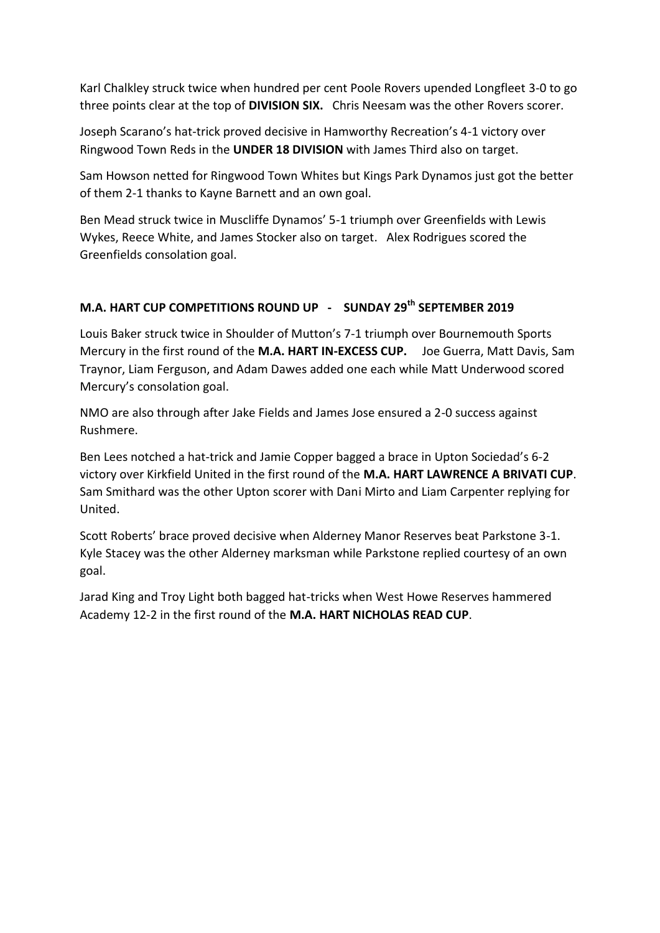Karl Chalkley struck twice when hundred per cent Poole Rovers upended Longfleet 3-0 to go three points clear at the top of **DIVISION SIX.** Chris Neesam was the other Rovers scorer.

Joseph Scarano's hat-trick proved decisive in Hamworthy Recreation's 4-1 victory over Ringwood Town Reds in the **UNDER 18 DIVISION** with James Third also on target.

Sam Howson netted for Ringwood Town Whites but Kings Park Dynamos just got the better of them 2-1 thanks to Kayne Barnett and an own goal.

Ben Mead struck twice in Muscliffe Dynamos' 5-1 triumph over Greenfields with Lewis Wykes, Reece White, and James Stocker also on target. Alex Rodrigues scored the Greenfields consolation goal.

## **M.A. HART CUP COMPETITIONS ROUND UP - SUNDAY 29th SEPTEMBER 2019**

Louis Baker struck twice in Shoulder of Mutton's 7-1 triumph over Bournemouth Sports Mercury in the first round of the **M.A. HART IN-EXCESS CUP.** Joe Guerra, Matt Davis, Sam Traynor, Liam Ferguson, and Adam Dawes added one each while Matt Underwood scored Mercury's consolation goal.

NMO are also through after Jake Fields and James Jose ensured a 2-0 success against Rushmere.

Ben Lees notched a hat-trick and Jamie Copper bagged a brace in Upton Sociedad's 6-2 victory over Kirkfield United in the first round of the **M.A. HART LAWRENCE A BRIVATI CUP**. Sam Smithard was the other Upton scorer with Dani Mirto and Liam Carpenter replying for United.

Scott Roberts' brace proved decisive when Alderney Manor Reserves beat Parkstone 3-1. Kyle Stacey was the other Alderney marksman while Parkstone replied courtesy of an own goal.

Jarad King and Troy Light both bagged hat-tricks when West Howe Reserves hammered Academy 12-2 in the first round of the **M.A. HART NICHOLAS READ CUP**.